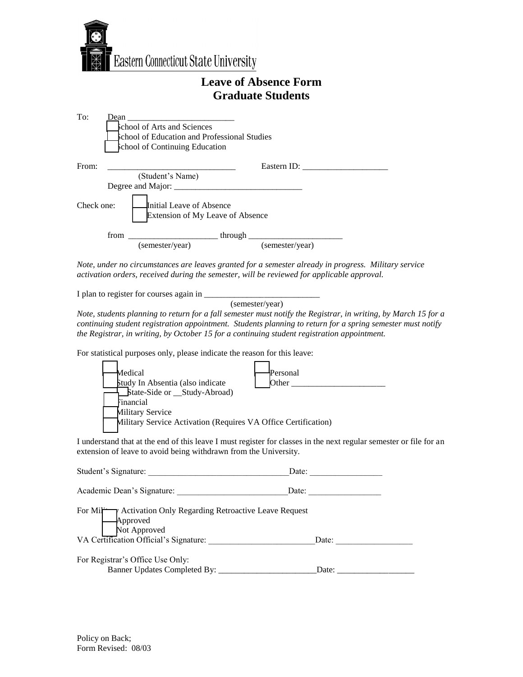

## **Leave of Absence Form Graduate Students**

| To:        | Dean | <u> 1980 - Jan Barat, margaret amerikan ba</u><br>school of Arts and Sciences<br><b>School of Education and Professional Studies</b><br><b>chool of Continuing Education</b> |  |                 |  |
|------------|------|------------------------------------------------------------------------------------------------------------------------------------------------------------------------------|--|-----------------|--|
| From:      |      |                                                                                                                                                                              |  | Eastern ID:     |  |
|            |      | (Student's Name)                                                                                                                                                             |  |                 |  |
|            |      |                                                                                                                                                                              |  |                 |  |
| Check one: |      | Initial Leave of Absence<br><b>Extension of My Leave of Absence</b>                                                                                                          |  |                 |  |
|            | from | through $\frac{1}{\sqrt{1-\frac{1}{2}}\cdot\frac{1}{\sqrt{1-\frac{1}{2}}\cdot\frac{1}{2}}\cdot\frac{1}{\sqrt{1-\frac{1}{2}}\cdot\frac{1}{2}}$                                |  |                 |  |
|            |      | (semester/year)                                                                                                                                                              |  | (semester/year) |  |

*Note, under no circumstances are leaves granted for a semester already in progress. Military service activation orders, received during the semester, will be reviewed for applicable approval.* 

I plan to register for courses again in \_\_\_\_\_\_\_\_\_\_\_\_\_\_\_\_\_\_\_\_\_\_\_\_\_\_\_

(semester/year)

*Note, students planning to return for a fall semester must notify the Registrar, in writing, by March 15 for a continuing student registration appointment. Students planning to return for a spring semester must notify the Registrar, in writing, by October 15 for a continuing student registration appointment.* 

For statistical purposes only, please indicate the reason for this leave:

|  |                                                                                    | Medical<br>Personal<br>Study In Absentia (also indicate<br>Other |  |  |  |  |
|--|------------------------------------------------------------------------------------|------------------------------------------------------------------|--|--|--|--|
|  |                                                                                    | State-Side or __Study-Abroad)<br>Financial                       |  |  |  |  |
|  | Military Service<br>Military Service Activation (Requires VA Office Certification) |                                                                  |  |  |  |  |
|  |                                                                                    |                                                                  |  |  |  |  |

I understand that at the end of this leave I must register for classes in the next regular semester or file for an extension of leave to avoid being withdrawn from the University.

| Student's Signature:                                                                                                              | Date: |
|-----------------------------------------------------------------------------------------------------------------------------------|-------|
| Academic Dean's Signature:                                                                                                        | Date: |
| For Mil Activation Only Regarding Retroactive Leave Request<br>Approved<br>Not Approved<br>VA Certification Official's Signature: | Date: |
| For Registrar's Office Use Only:                                                                                                  |       |
| Banner Updates Completed By:                                                                                                      | Date: |